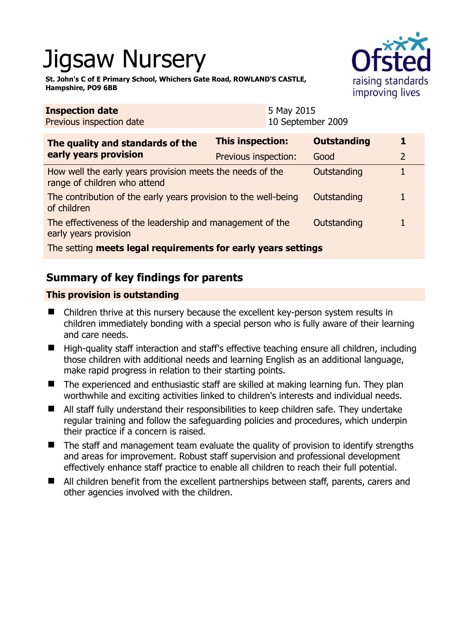# Jigsaw Nursery

**St. John's C of E Primary School, Whichers Gate Road, ROWLAND'S CASTLE, Hampshire, PO9 6BB** 



| <b>Inspection date</b><br>Previous inspection date                                        |                         | 5 May 2015<br>10 September 2009 |                    |  |  |
|-------------------------------------------------------------------------------------------|-------------------------|---------------------------------|--------------------|--|--|
| The quality and standards of the<br>early years provision                                 | <b>This inspection:</b> |                                 | <b>Outstanding</b> |  |  |
|                                                                                           | Previous inspection:    |                                 | Good               |  |  |
| How well the early years provision meets the needs of the<br>range of children who attend |                         |                                 | Outstanding        |  |  |
| The contribution of the early years provision to the well-being<br>of children            |                         |                                 | Outstanding        |  |  |
| The effectiveness of the leadership and management of the<br>early years provision        |                         |                                 | Outstanding        |  |  |
| The setting meets legal requirements for early years settings                             |                         |                                 |                    |  |  |

# **Summary of key findings for parents**

## **This provision is outstanding**

- Children thrive at this nursery because the excellent key-person system results in children immediately bonding with a special person who is fully aware of their learning and care needs.
- $\blacksquare$  High-quality staff interaction and staff's effective teaching ensure all children, including those children with additional needs and learning English as an additional language, make rapid progress in relation to their starting points.
- The experienced and enthusiastic staff are skilled at making learning fun. They plan worthwhile and exciting activities linked to children's interests and individual needs.
- All staff fully understand their responsibilities to keep children safe. They undertake regular training and follow the safeguarding policies and procedures, which underpin their practice if a concern is raised.
- The staff and management team evaluate the quality of provision to identify strengths and areas for improvement. Robust staff supervision and professional development effectively enhance staff practice to enable all children to reach their full potential.
- All children benefit from the excellent partnerships between staff, parents, carers and other agencies involved with the children.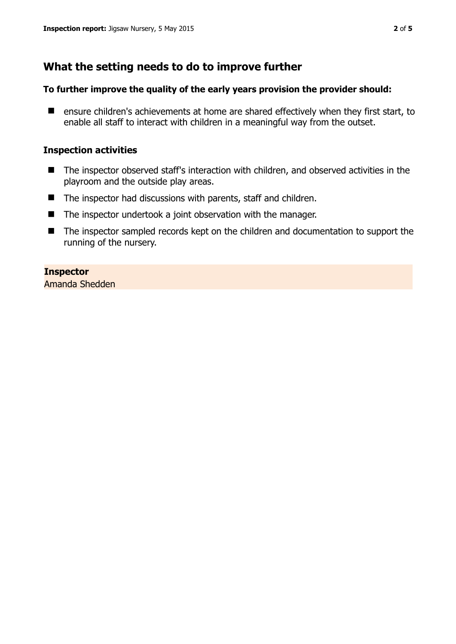# **What the setting needs to do to improve further**

#### **To further improve the quality of the early years provision the provider should:**

■ ensure children's achievements at home are shared effectively when they first start, to enable all staff to interact with children in a meaningful way from the outset.

#### **Inspection activities**

- The inspector observed staff's interaction with children, and observed activities in the playroom and the outside play areas.
- The inspector had discussions with parents, staff and children.
- The inspector undertook a joint observation with the manager.
- The inspector sampled records kept on the children and documentation to support the running of the nursery.

### **Inspector**

Amanda Shedden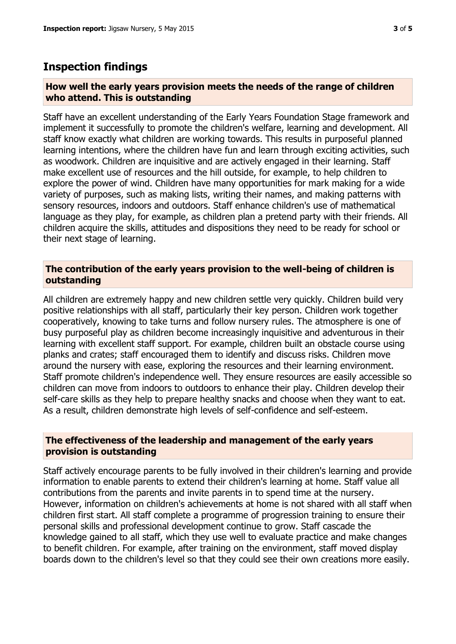## **Inspection findings**

#### **How well the early years provision meets the needs of the range of children who attend. This is outstanding**

Staff have an excellent understanding of the Early Years Foundation Stage framework and implement it successfully to promote the children's welfare, learning and development. All staff know exactly what children are working towards. This results in purposeful planned learning intentions, where the children have fun and learn through exciting activities, such as woodwork. Children are inquisitive and are actively engaged in their learning. Staff make excellent use of resources and the hill outside, for example, to help children to explore the power of wind. Children have many opportunities for mark making for a wide variety of purposes, such as making lists, writing their names, and making patterns with sensory resources, indoors and outdoors. Staff enhance children's use of mathematical language as they play, for example, as children plan a pretend party with their friends. All children acquire the skills, attitudes and dispositions they need to be ready for school or their next stage of learning.

#### **The contribution of the early years provision to the well-being of children is outstanding**

All children are extremely happy and new children settle very quickly. Children build very positive relationships with all staff, particularly their key person. Children work together cooperatively, knowing to take turns and follow nursery rules. The atmosphere is one of busy purposeful play as children become increasingly inquisitive and adventurous in their learning with excellent staff support. For example, children built an obstacle course using planks and crates; staff encouraged them to identify and discuss risks. Children move around the nursery with ease, exploring the resources and their learning environment. Staff promote children's independence well. They ensure resources are easily accessible so children can move from indoors to outdoors to enhance their play. Children develop their self-care skills as they help to prepare healthy snacks and choose when they want to eat. As a result, children demonstrate high levels of self-confidence and self-esteem.

#### **The effectiveness of the leadership and management of the early years provision is outstanding**

Staff actively encourage parents to be fully involved in their children's learning and provide information to enable parents to extend their children's learning at home. Staff value all contributions from the parents and invite parents in to spend time at the nursery. However, information on children's achievements at home is not shared with all staff when children first start. All staff complete a programme of progression training to ensure their personal skills and professional development continue to grow. Staff cascade the knowledge gained to all staff, which they use well to evaluate practice and make changes to benefit children. For example, after training on the environment, staff moved display boards down to the children's level so that they could see their own creations more easily.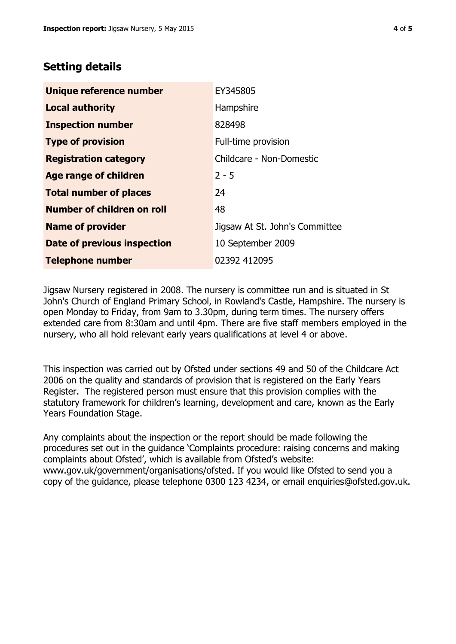## **Setting details**

| Unique reference number       | EY345805                       |  |
|-------------------------------|--------------------------------|--|
| <b>Local authority</b>        | Hampshire                      |  |
| <b>Inspection number</b>      | 828498                         |  |
| <b>Type of provision</b>      | Full-time provision            |  |
| <b>Registration category</b>  | Childcare - Non-Domestic       |  |
| <b>Age range of children</b>  | $2 - 5$                        |  |
| <b>Total number of places</b> | 24                             |  |
| Number of children on roll    | 48                             |  |
| <b>Name of provider</b>       | Jigsaw At St. John's Committee |  |
| Date of previous inspection   | 10 September 2009              |  |
| <b>Telephone number</b>       | 02392 412095                   |  |

Jigsaw Nursery registered in 2008. The nursery is committee run and is situated in St John's Church of England Primary School, in Rowland's Castle, Hampshire. The nursery is open Monday to Friday, from 9am to 3.30pm, during term times. The nursery offers extended care from 8:30am and until 4pm. There are five staff members employed in the nursery, who all hold relevant early years qualifications at level 4 or above.

This inspection was carried out by Ofsted under sections 49 and 50 of the Childcare Act 2006 on the quality and standards of provision that is registered on the Early Years Register. The registered person must ensure that this provision complies with the statutory framework for children's learning, development and care, known as the Early Years Foundation Stage.

Any complaints about the inspection or the report should be made following the procedures set out in the guidance 'Complaints procedure: raising concerns and making complaints about Ofsted', which is available from Ofsted's website: www.gov.uk/government/organisations/ofsted. If you would like Ofsted to send you a copy of the guidance, please telephone 0300 123 4234, or email enquiries@ofsted.gov.uk.